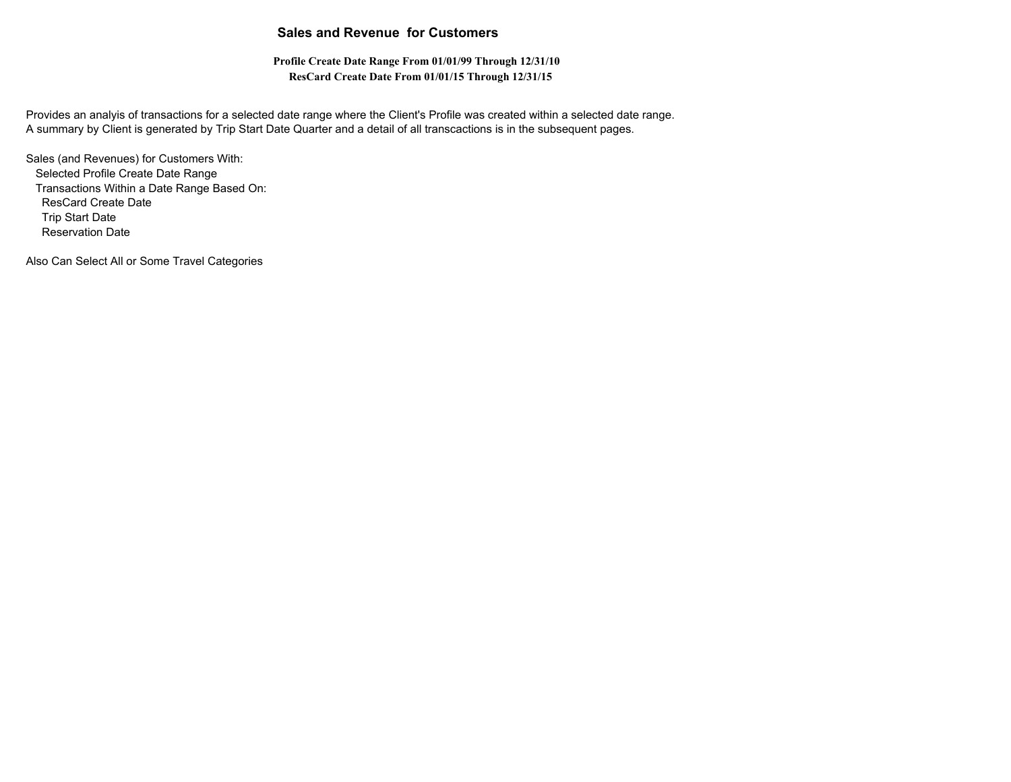## **Sales and Revenue for Customers**

**Profile Create Date Range From 01/01/99 Through 12/31/10 ResCard Create Date From 01/01/15 Through 12/31/15**

Provides an analyis of transactions for a selected date range where the Client's Profile was created within a selected date range. A summary by Client is generated by Trip Start Date Quarter and a detail of all transcactions is in the subsequent pages.

Sales (and Revenues) for Customers With: Selected Profile Create Date Range Transactions Within a Date Range Based On: ResCard Create Date Trip Start Date Reservation Date

Also Can Select All or Some Travel Categories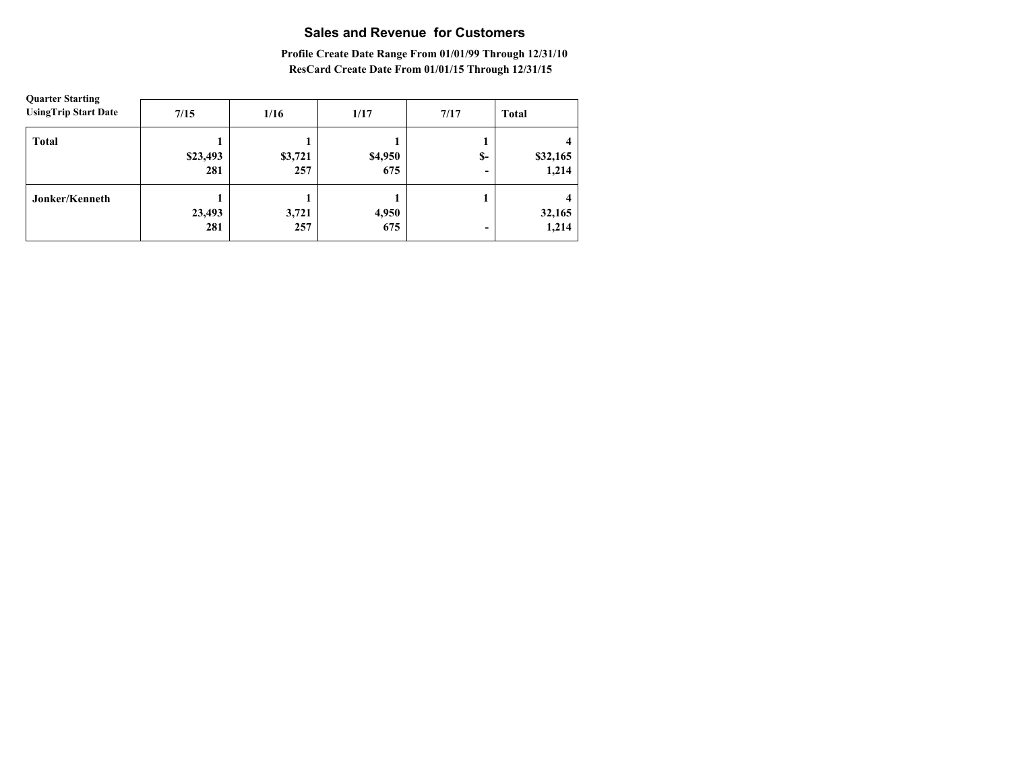# **Sales and Revenue for Customers**

### **Profile Create Date Range From 01/01/99 Through 12/31/10 ResCard Create Date From 01/01/15 Through 12/31/15**

| <b>Quarter Starting</b><br><b>UsingTrip Start Date</b> | 7/15            | 1/16           | 1/17           | 7/17                                 | <b>Total</b>      |
|--------------------------------------------------------|-----------------|----------------|----------------|--------------------------------------|-------------------|
| <b>Total</b>                                           | \$23,493<br>281 | \$3,721<br>257 | \$4,950<br>675 | $S-$<br>$\qquad \qquad \blacksquare$ | \$32,165<br>1,214 |
| Jonker/Kenneth                                         | 23,493<br>281   | 3,721<br>257   | 4,950<br>675   | $\qquad \qquad$                      | 32,165<br>1,214   |